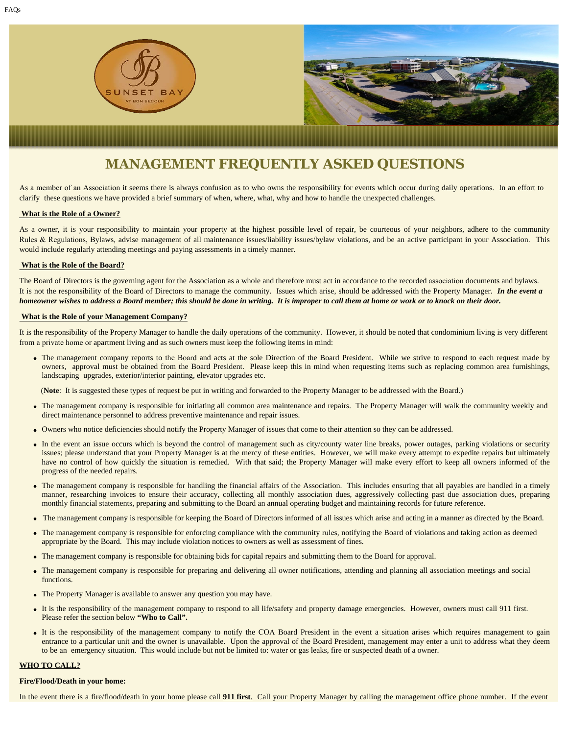

# **MANAGEMENT FREQUENTLY ASKED QUESTIONS**

As a member of an Association it seems there is always confusion as to who owns the responsibility for events which occur during daily operations. In an effort to clarify these questions we have provided a brief summary of when, where, what, why and how to handle the unexpected challenges.

# **What is the Role of a Owner?**

As a owner, it is your responsibility to maintain your property at the highest possible level of repair, be courteous of your neighbors, adhere to the community Rules & Regulations, Bylaws, advise management of all maintenance issues/liability issues/bylaw violations, and be an active participant in your Association. This would include regularly attending meetings and paying assessments in a timely manner.

# **What is the Role of the Board?**

The Board of Directors is the governing agent for the Association as a whole and therefore must act in accordance to the recorded association documents and bylaws. It is not the responsibility of the Board of Directors to manage the community. Issues which arise, should be addressed with the Property Manager. *In the event a homeowner wishes to address a Board member; this should be done in writing. It is improper to call them at home or work or to knock on their door.* 

# **What is the Role of your Management Company?**

It is the responsibility of the Property Manager to handle the daily operations of the community. However, it should be noted that condominium living is very different from a private home or apartment living and as such owners must keep the following items in mind:

• The management company reports to the Board and acts at the sole Direction of the Board President. While we strive to respond to each request made by owners, approval must be obtained from the Board President. Please keep this in mind when requesting items such as replacing common area furnishings, landscaping upgrades, exterior/interior painting, elevator upgrades etc.

(Note: It is suggested these types of request be put in writing and forwarded to the Property Manager to be addressed with the Board.)

- The management company is responsible for initiating all common area maintenance and repairs. The Property Manager will walk the community weekly and direct maintenance personnel to address preventive maintenance and repair issues.
- Owners who notice deficiencies should notify the Property Manager of issues that come to their attention so they can be addressed.
- In the event an issue occurs which is beyond the control of management such as city/county water line breaks, power outages, parking violations or security issues; please understand that your Property Manager is at the mercy of these entities. However, we will make every attempt to expedite repairs but ultimately have no control of how quickly the situation is remedied. With that said; the Property Manager will make every effort to keep all owners informed of the progress of the needed repairs.
- The management company is responsible for handling the financial affairs of the Association. This includes ensuring that all payables are handled in a timely manner, researching invoices to ensure their accuracy, collecting all monthly association dues, aggressively collecting past due association dues, preparing monthly financial statements, preparing and submitting to the Board an annual operating budget and maintaining records for future reference.
- The management company is responsible for keeping the Board of Directors informed of all issues which arise and acting in a manner as directed by the Board.
- The management company is responsible for enforcing compliance with the community rules, notifying the Board of violations and taking action as deemed appropriate by the Board. This may include violation notices to owners as well as assessment of fines.
- The management company is responsible for obtaining bids for capital repairs and submitting them to the Board for approval.
- The management company is responsible for preparing and delivering all owner notifications, attending and planning all association meetings and social functions.
- The Property Manager is available to answer any question you may have.
- It is the responsibility of the management company to respond to all life/safety and property damage emergencies. However, owners must call 911 first. Please refer the section below "Who to Call".
- It is the responsibility of the management company to notify the COA Board President in the event a situation arises which requires management to gain entrance to a particular unit and the owner is unavailable. Upon the approval of the Board President, management may enter a unit to address what they deem to be an emergency situation. This would include but not be limited to: water or gas leaks, fire or suspected death of a owner.

#### **WHO TO CALL?**

#### **Fire/Flood/Death in your home:**

In the event there is a fire/flood/death in your home please call **911 first**. Call your Property Manager by calling the management office phone number. If the event